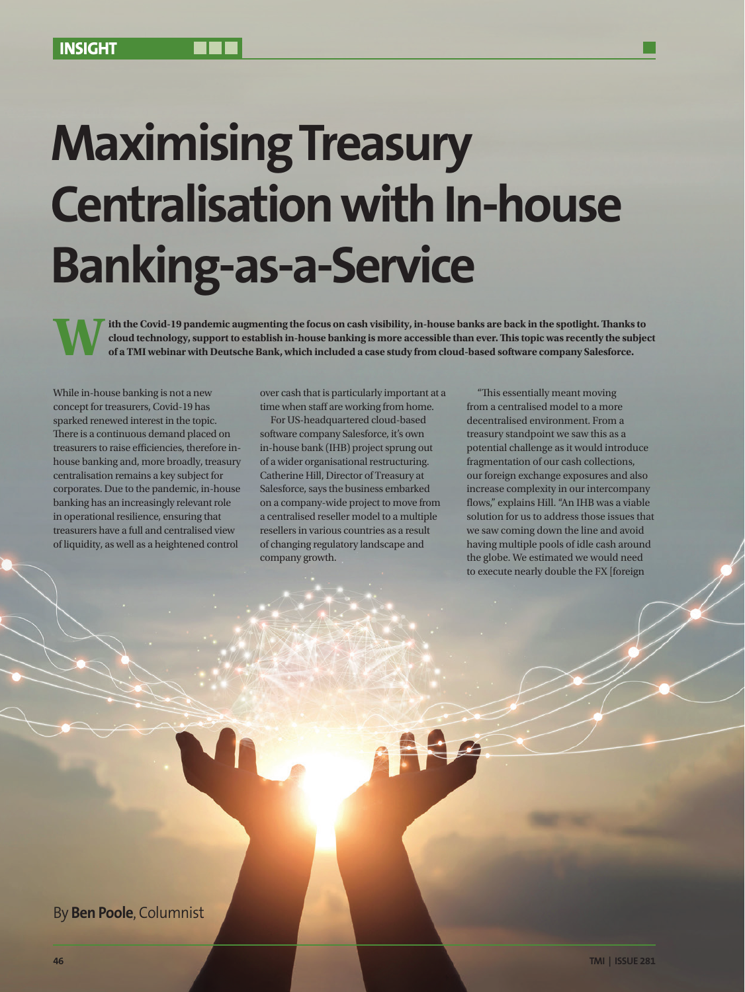# **Maximising Treasury Centralisation with In-house Banking-as-a-Service**

Ith the Covid-19 pandemic augmenting the focus on cash visibility, in-house banks are back in the spotlight. Thanks to cloud technology, support to establish in-house banking is more accessible than ever. This topic was re **cloud technology, support to establish in-house banking is more accessible than ever. This topic was recently the subject of a TMI webinar with Deutsche Bank, which included a case study from cloud-based software company Salesforce.**

While in-house banking is not a new concept for treasurers, Covid-19 has sparked renewed interest in the topic. There is a continuous demand placed on treasurers to raise efficiencies, therefore inhouse banking and, more broadly, treasury centralisation remains a key subject for corporates. Due to the pandemic, in-house banking has an increasingly relevant role in operational resilience, ensuring that treasurers have a full and centralised view of liquidity, as well as a heightened control

over cash that is particularly important at a time when staff are working from home.

For US-headquartered cloud-based software company Salesforce, it's own in-house bank (IHB) project sprung out of a wider organisational restructuring. Catherine Hill, Director of Treasury at Salesforce, says the business embarked on a company-wide project to move from a centralised reseller model to a multiple resellers in various countries as a result of changing regulatory landscape and company growth.

"This essentially meant moving from a centralised model to a more decentralised environment. From a treasury standpoint we saw this as a potential challenge as it would introduce fragmentation of our cash collections, our foreign exchange exposures and also increase complexity in our intercompany flows," explains Hill. "An IHB was a viable solution for us to address those issues that we saw coming down the line and avoid having multiple pools of idle cash around the globe. We estimated we would need to execute nearly double the FX [foreign

By **Ben Poole**, Columnist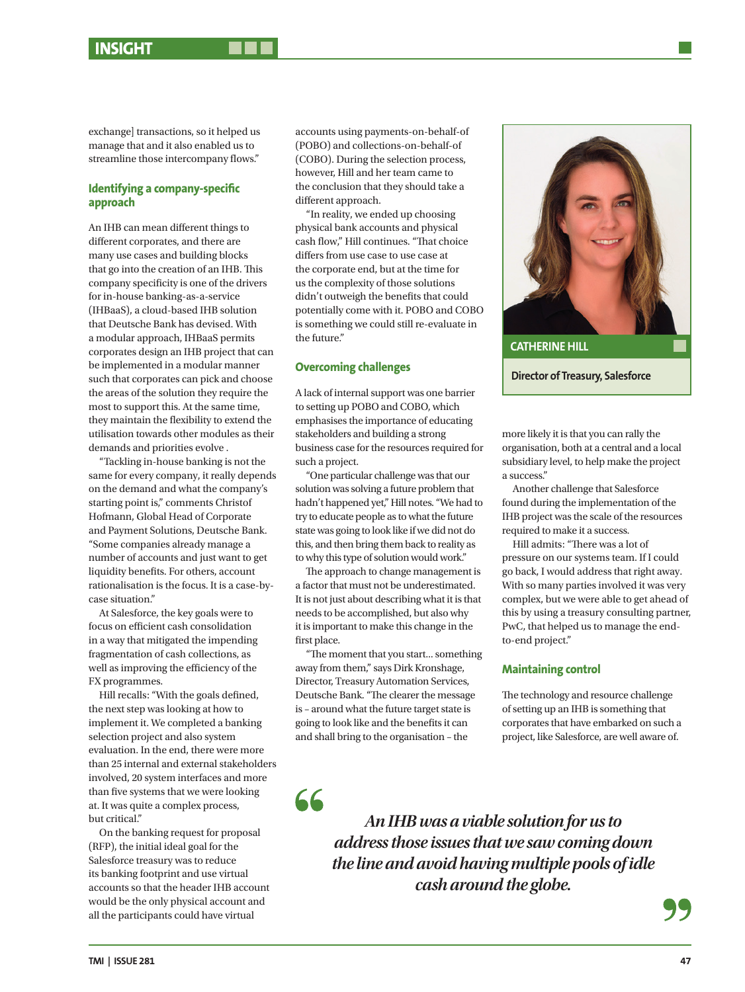exchange] transactions, so it helped us manage that and it also enabled us to streamline those intercompany flows."

# **Identifying a company-specific approach**

An IHB can mean different things to different corporates, and there are many use cases and building blocks that go into the creation of an IHB. This company specificity is one of the drivers for in-house banking-as-a-service (IHBaaS), a cloud-based IHB solution that Deutsche Bank has devised. With a modular approach, IHBaaS permits corporates design an IHB project that can be implemented in a modular manner such that corporates can pick and choose the areas of the solution they require the most to support this. At the same time, they maintain the flexibility to extend the utilisation towards other modules as their demands and priorities evolve .

"Tackling in-house banking is not the same for every company, it really depends on the demand and what the company's starting point is," comments Christof Hofmann, Global Head of Corporate and Payment Solutions, Deutsche Bank. "Some companies already manage a number of accounts and just want to get liquidity benefits. For others, account rationalisation is the focus. It is a case-bycase situation."

At Salesforce, the key goals were to focus on efficient cash consolidation in a way that mitigated the impending fragmentation of cash collections, as well as improving the efficiency of the FX programmes.

Hill recalls: "With the goals defined, the next step was looking at how to implement it. We completed a banking selection project and also system evaluation. In the end, there were more than 25 internal and external stakeholders involved, 20 system interfaces and more than five systems that we were looking at. It was quite a complex process, but critical."

On the banking request for proposal (RFP), the initial ideal goal for the Salesforce treasury was to reduce its banking footprint and use virtual accounts so that the header IHB account would be the only physical account and all the participants could have virtual

accounts using payments-on-behalf-of (POBO) and collections-on-behalf-of (COBO). During the selection process, however, Hill and her team came to the conclusion that they should take a different approach.

"In reality, we ended up choosing physical bank accounts and physical cash flow," Hill continues. "That choice differs from use case to use case at the corporate end, but at the time for us the complexity of those solutions didn't outweigh the benefits that could potentially come with it. POBO and COBO is something we could still re-evaluate in the future."

## **Overcoming challenges**

A lack of internal support was one barrier to setting up POBO and COBO, which emphasises the importance of educating stakeholders and building a strong business case for the resources required for such a project.

"One particular challenge was that our solution was solving a future problem that hadn't happened yet," Hill notes. "We had to try to educate people as to what the future state was going to look like if we did not do this, and then bring them back to reality as to why this type of solution would work."

The approach to change management is a factor that must not be underestimated. It is not just about describing what it is that needs to be accomplished, but also why it is important to make this change in the first place.

"The moment that you start... something away from them," says Dirk Kronshage, Director, Treasury Automation Services, Deutsche Bank. "The clearer the message is – around what the future target state is going to look like and the benefits it can and shall bring to the organisation – the

66



more likely it is that you can rally the organisation, both at a central and a local subsidiary level, to help make the project a success."

Another challenge that Salesforce found during the implementation of the IHB project was the scale of the resources required to make it a success.

Hill admits: "There was a lot of pressure on our systems team. If I could go back, I would address that right away. With so many parties involved it was very complex, but we were able to get ahead of this by using a treasury consulting partner, PwC, that helped us to manage the endto-end project."

### **Maintaining control**

The technology and resource challenge of setting up an IHB is something that corporates that have embarked on such a project, like Salesforce, are well aware of.

*An IHB was a viable solution for us to address those issues that we saw coming down the line and avoid having multiple pools of idle cash around the globe.*